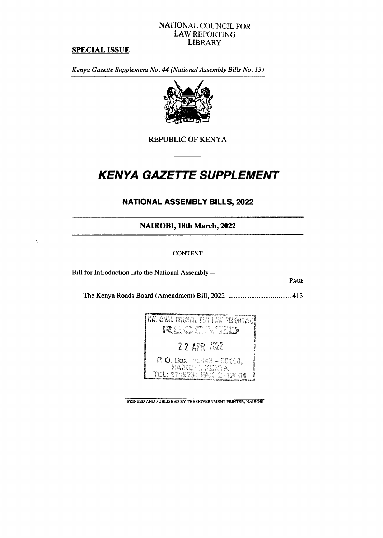# NATIONAL COUNCIL FOR LAW REPORTING LIBRARY

# **SPECIAL ISSUE**

 $\ddagger$ 

*Kenya Gazette Supplement No. 44 (National Assembly Bills No. 13)* 



**REPUBLIC OF KENYA** 

# *KENYA GAZETTE SUPPLEMENT*

# **NATIONAL ASSEMBLY BILLS, 2022**

**NAIROBI, 18th March, 2022** 

### **CONTENT**

**Bill for Introduction into the National Assembly—** 

**PAGE** 

**The Kenya Roads Board (Amendment) Bill, 2022 413** 



**PRINTED AND PUBLISHED BY THE GOVERNMENT PRINTER, NAIROBI** 

. . .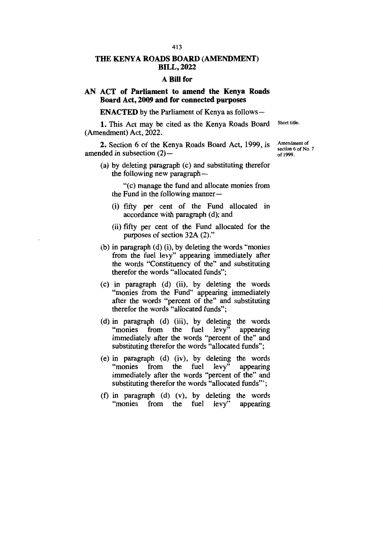#### **THE KENYA ROADS BOARD (AMENDMENT) BILL, 2022**

#### **A Bill for**

### **AN ACT of Parliament to amend the Kenya Roads Board Act, 2009 and for connected purposes**

**ENACTED** by the Parliament of Kenya as follows —

1. This Act may be cited as the Kenya Roads Board (Amendment) Act, 2022.

2. Section 6 of the Kenya Roads Board Act, 1999, is amended in subsection (2)—

(a) by deleting paragraph (c) and substituting therefor the following new paragraph —

"(c) manage the fund and allocate monies from the Fund in the following manner —

- (i) fifty per cent of the Fund allocated in accordance with paragraph (d); and
- (ii) fifty per cent of the Fund allocated for the purposes of section 32A (2)."
- (b) in paragraph (d) (i), by deleting the words "monies from the fuel levy" appearing immediately after the words "Constituency of the" and substituting therefor the words "allocated funds";
- (c) in paragraph (d) (ii), by deleting the words "monies from the Fund" appearing immediately after the words "percent of the" and substituting therefor the words "allocated funds";
- (d) in paragraph (d) (iii), by deleting the words "monies from the fuel levy" appearing immediately after the words "percent of the" and substituting therefor the words "allocated funds";
- (e) in paragraph (d) (iv), by deleting the words "monies from the fuel levy" appearing immediately after the words "percent of the" and substituting therefor the words "allocated funds"';
- (f) in paragraph (d) (v), by deleting the words "monies from the fuel levy" appearing

Amendment of

Short title.

section 6 of No. 7 of 1999.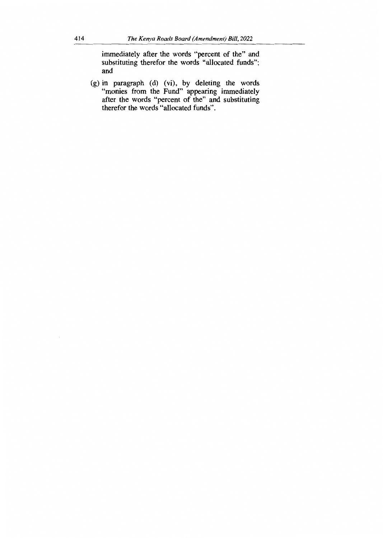immediately after the words "percent of the" and substituting therefor the words "allocated funds"; and

g) in paragraph (d) (vi), by deleting the words monies from the Fund" appearing immediately fter the words "percent of the" and substituting herefor the words "allocated funds".

 $\bar{z}$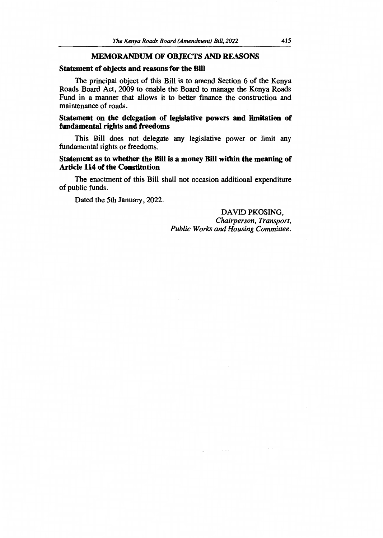#### **MEMORANDUM OF OBJECTS AND REASONS**

#### **Statement of objects and reasons for the Bill**

The principal object of this Bill is to amend Section 6 of the Kenya Roads Board Act, 2009 to enable the Board to manage the Kenya Roads Fund in a manner that allows it to better finance the construction and maintenance of roads.

#### **Statement on the delegation of legislative powers and limitation of fundamental rights and freedoms**

This Bill does not delegate any legislative power or limit any fundamental rights or freedoms.

### **Statement as to whether the Bill is a money Bill within the meaning of Article 114 of the Constitution**

The enactment of this Bill shall not occasion additional expenditure of public funds.

Dated the 5th January, 2022.

### DAVID PKOSING, *Chairperson, Transport, Public Works and Housing Committee.*

 $\overline{a}$  ,  $\overline{a}$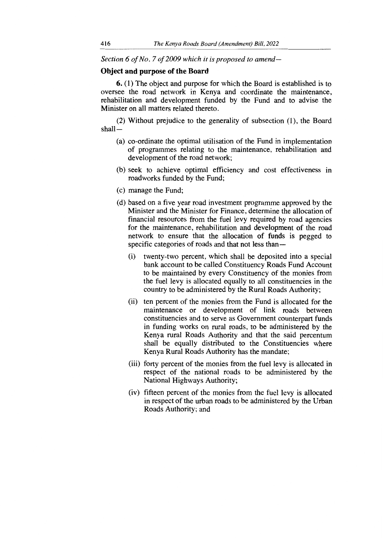*Section 6 of No. 7 of 2009 which it is proposed to amend—*

#### **Object and purpose of the Board**

**6.** (1) The object and purpose for which the Board is established is to oversee the road network in Kenya and coordinate the maintenance, rehabilitation and development funded by the Fund and to advise the Minister on all matters related thereto.

(2) Without prejudice to the generality of subsection (1), the Board shall—

- (a) co-ordinate the optimal utilisation of the Fund in implementation of programmes relating to the maintenance, rehabilitation and development of the road network;
- (b) seek to achieve optimal efficiency and cost effectiveness in roadworks funded by the Fund;
- (c) manage the Fund;
- (d) based on a five year road investment programme approved by the Minister and the Minister for Finance, determine the allocation of financial resources from the fuel levy required by road agencies for the maintenance, rehabilitation and development of the road network to ensure that the allocation of funds is pegged to specific categories of roads and that not less than—
	- (i) twenty-two percent, which shall be deposited into a special bank account to be called Constituency Roads Fund Account to be maintained by every Constituency of the monies from the fuel levy is allocated equally to all constituencies in the country to be administered by the Rural Roads Authority;
	- (ii) ten percent of the monies from the Fund is allocated for the maintenance or development of link roads between constituencies and to serve as Government counterpart funds in funding works on rural roads, to be administered by the Kenya rural Roads Authority and that the said percentum shall be equally distributed to the Constituencies where Kenya Rural Roads Authority has the mandate;
	- (iii) forty percent of the monies from the fuel levy is allocated in respect of the national roads to be administered by the National Highways Authority;
	- (iv) fifteen percent of the monies from the fuel levy is allocated in respect of the urban roads to be administered by the Urban Roads Authority; and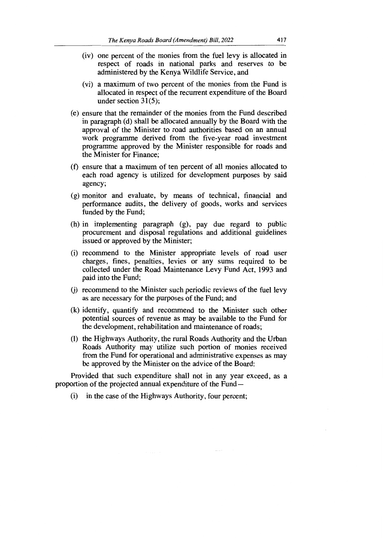- (iv) one percent of the monies from the fuel levy is allocated in respect of roads in national parks and reserves to be administered by the Kenya Wildlife Service, and
- (vi) a maximum of two percent of the monies from the Fund is allocated in respect of the recurrent expenditure of the Board under section 31(5);
- (e) ensure that the remainder of the monies from the Fund described in paragraph (d) shall be allocated annually by the Board with the approval of the Minister to road authorities based on an annual work programme derived from the five-year road investment programme approved by the Minister responsible for roads and the Minister for Finance;
- (f) ensure that a maximum of ten percent of all monies allocated to each road agency is utilized for development purposes by said agency;
- (g) monitor and evaluate, by means of technical, financial and performance audits, the delivery of goods, works and services funded by the Fund;
- (h) in implementing paragraph (g), pay due regard to public procurement and disposal regulations and additional guidelines issued or approved by the Minister;
- (i) recommend to the Minister appropriate levels of road user charges, fines, penalties, levies or any sums required to be collected under the Road Maintenance Levy Fund Act, 1993 and paid into the Fund;
- (j) recommend to the Minister such periodic reviews of the fuel levy as are necessary for the purposes of the Fund; and
- (k) identify, quantify and recommend to the Minister such other potential sources of revenue as may be available to the Fund for the development, rehabilitation and maintenance of roads;
- (1) the Highways Authority, the rural Roads Authority and the Urban Roads Authority may utilize such portion of monies received from the Fund for operational and administrative expenses as may be approved by the Minister on the advice of the Board:

Provided that such expenditure shall not in any year exceed, as a proportion of the projected annual expenditure of the Fund —

(i) in the case of the Highways Authority, four percent;